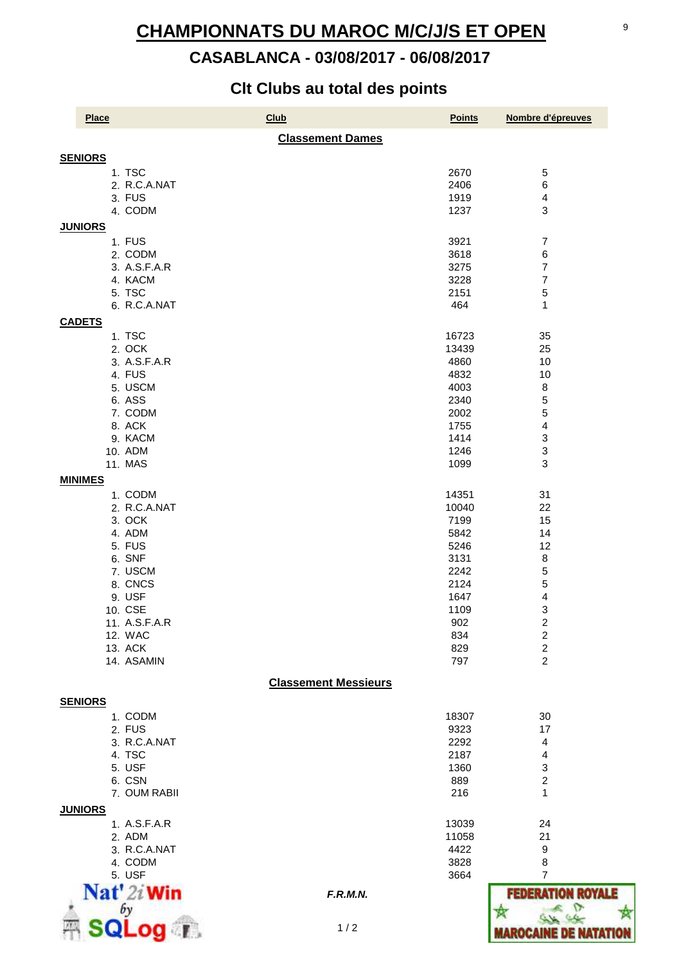# 07/08/2017 10:31:59 **CHAMPIONNATS DU MAROC M/C/J/S ET OPEN**

## **CASABLANCA - 03/08/2017 - 06/08/2017**

### **Clt Clubs au total des points**

| <b>Place</b>                            | <b>Club</b>                 | <b>Points</b> | Nombre d'épreuves        |
|-----------------------------------------|-----------------------------|---------------|--------------------------|
|                                         | <b>Classement Dames</b>     |               |                          |
| <b>SENIORS</b>                          |                             |               |                          |
| 1. TSC                                  |                             | 2670          | $\,$ 5 $\,$              |
| 2. R.C.A.NAT                            |                             | 2406          | 6                        |
| 3. FUS                                  |                             | 1919          | $\overline{4}$           |
| 4. CODM                                 |                             | 1237          | 3                        |
| <b>JUNIORS</b>                          |                             |               |                          |
|                                         |                             |               |                          |
| 1. FUS                                  |                             | 3921          | $\overline{7}$           |
| 2. CODM                                 |                             | 3618          | 6                        |
| 3. A.S.F.A.R                            |                             | 3275          | $\overline{7}$           |
| 4. KACM                                 |                             | 3228          | 7                        |
| 5. TSC                                  |                             | 2151          | 5                        |
| 6. R.C.A.NAT                            |                             | 464           | 1                        |
| <b>CADETS</b>                           |                             |               |                          |
| 1. TSC                                  |                             | 16723         | 35                       |
| 2. OCK                                  |                             | 13439         | 25                       |
|                                         |                             |               |                          |
| 3. A.S.F.A.R                            |                             | 4860          | 10                       |
| 4. FUS                                  |                             | 4832          | 10                       |
| 5. USCM                                 |                             | 4003          | $\bf 8$                  |
| 6. ASS                                  |                             | 2340          | 5                        |
| 7. CODM                                 |                             | 2002          | 5                        |
| 8. ACK                                  |                             | 1755          | 4                        |
| 9. KACM                                 |                             | 1414          | 3                        |
| 10. ADM                                 |                             | 1246          | 3                        |
| 11. MAS                                 |                             | 1099          | 3                        |
| <b>MINIMES</b>                          |                             |               |                          |
|                                         |                             |               |                          |
| 1. CODM                                 |                             | 14351         | 31                       |
| 2. R.C.A.NAT                            |                             | 10040         | 22                       |
| 3. OCK                                  |                             | 7199          | 15                       |
| 4. ADM                                  |                             | 5842          | 14                       |
| 5. FUS                                  |                             | 5246          | 12                       |
| 6. SNF                                  |                             | 3131          | $\bf 8$                  |
| 7. USCM                                 |                             | 2242          | 5                        |
| 8. CNCS                                 |                             | 2124          | 5                        |
| 9. USF                                  |                             | 1647          | 4                        |
| 10. CSE                                 |                             | 1109          | 3                        |
| 11. A.S.F.A.R                           |                             | 902           | $\overline{\mathbf{c}}$  |
| 12. WAC                                 |                             | 834           | $\boldsymbol{2}$         |
| 13. ACK                                 |                             | 829           | $\overline{c}$           |
| 14. ASAMIN                              |                             | 797           | $\overline{2}$           |
|                                         |                             |               |                          |
|                                         | <b>Classement Messieurs</b> |               |                          |
| <b>SENIORS</b>                          |                             |               |                          |
| 1. CODM                                 |                             | 18307         | 30                       |
| 2. FUS                                  |                             | 9323          | 17                       |
| 3. R.C.A.NAT                            |                             | 2292          | 4                        |
| 4. TSC                                  |                             | 2187          | 4                        |
| 5. USF                                  |                             | 1360          | 3                        |
| 6. CSN                                  |                             | 889           | $\overline{\mathbf{c}}$  |
| 7. OUM RABII                            |                             | 216           | 1                        |
|                                         |                             |               |                          |
| <b>JUNIORS</b>                          |                             |               |                          |
| 1. A.S.F.A.R                            |                             | 13039         | 24                       |
| 2. ADM                                  |                             | 11058         | 21                       |
| 3. R.C.A.NAT                            |                             | 4422          | 9                        |
| 4. CODM                                 |                             | 3828          | 8                        |
| 5. USF                                  |                             | 3664          | 7                        |
| Nat' 2i Win                             | F.R.M.N.                    |               | <b>FEDERATION ROYALE</b> |
|                                         |                             |               |                          |
|                                         |                             |               |                          |
| $\overline{\mathbf{Q}}$ or $\mathbf{R}$ | 1/2                         |               |                          |
|                                         |                             |               |                          |